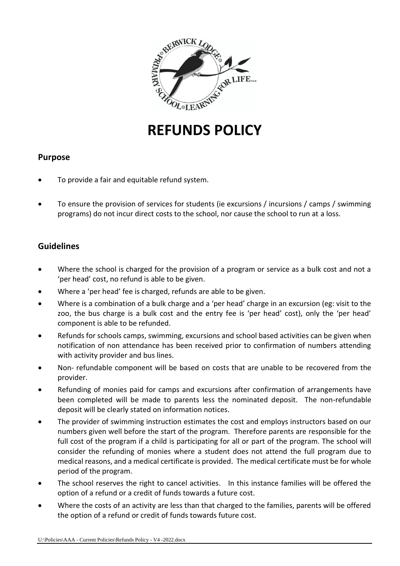

# **REFUNDS POLICY**

## **Purpose**

- To provide a fair and equitable refund system.
- To ensure the provision of services for students (ie excursions / incursions / camps / swimming programs) do not incur direct costs to the school, nor cause the school to run at a loss.

# **Guidelines**

- Where the school is charged for the provision of a program or service as a bulk cost and not a 'per head' cost, no refund is able to be given.
- Where a 'per head' fee is charged, refunds are able to be given.
- Where is a combination of a bulk charge and a 'per head' charge in an excursion (eg: visit to the zoo, the bus charge is a bulk cost and the entry fee is 'per head' cost), only the 'per head' component is able to be refunded.
- Refunds for schools camps, swimming, excursions and school based activities can be given when notification of non attendance has been received prior to confirmation of numbers attending with activity provider and bus lines.
- Non- refundable component will be based on costs that are unable to be recovered from the provider.
- Refunding of monies paid for camps and excursions after confirmation of arrangements have been completed will be made to parents less the nominated deposit. The non-refundable deposit will be clearly stated on information notices.
- The provider of swimming instruction estimates the cost and employs instructors based on our numbers given well before the start of the program. Therefore parents are responsible for the full cost of the program if a child is participating for all or part of the program. The school will consider the refunding of monies where a student does not attend the full program due to medical reasons, and a medical certificate is provided. The medical certificate must be for whole period of the program.
- The school reserves the right to cancel activities. In this instance families will be offered the option of a refund or a credit of funds towards a future cost.
- Where the costs of an activity are less than that charged to the families, parents will be offered the option of a refund or credit of funds towards future cost.